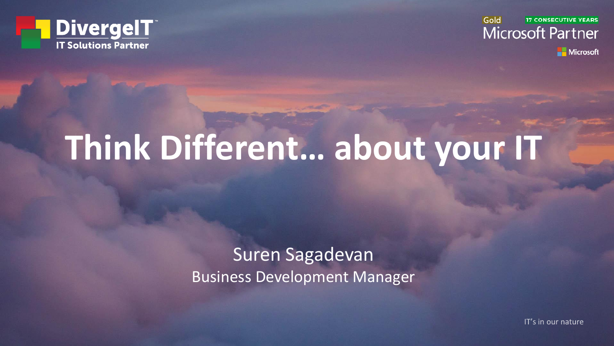

Gold **17 CONSECUTIVE YEARS Microsoft Partner** 

**Microsoft** 

# **Think Different… about your IT**

#### Suren Sagadevan Business Development Manager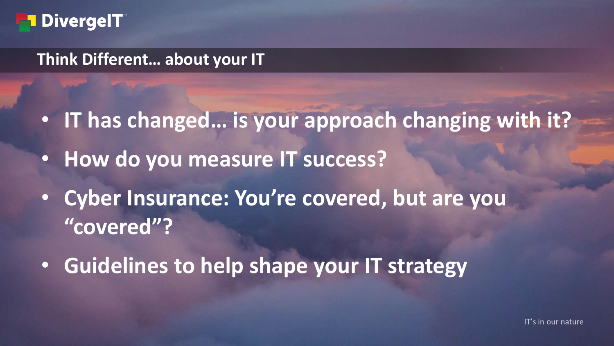**Think Different… about your IT**

- **IT has changed… is your approach changing with it?**
- **How do you measure IT success?**
- **Cyber Insurance: You're covered, but are you "covered"?**
- **Guidelines to help shape your IT strategy**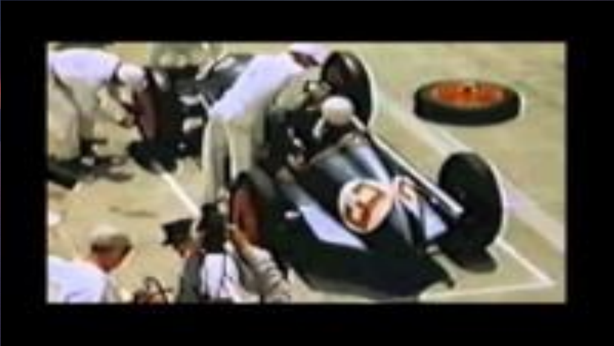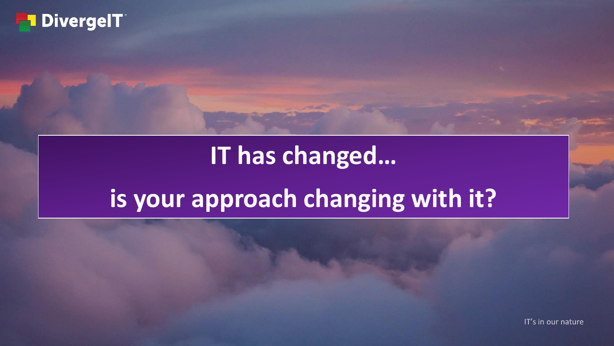# **IT has changed…**

## **is your approach changing with it?**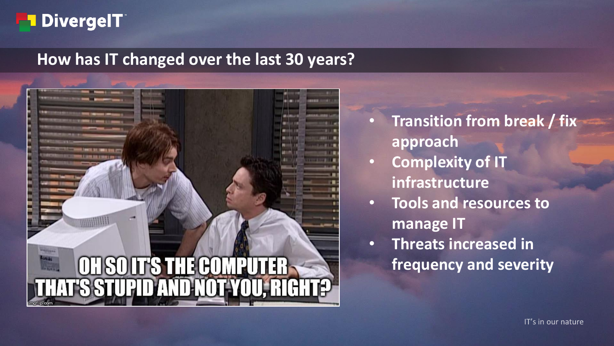#### **How has IT changed over the last 30 years?**



- **Transition from break / fix approach**
- **Complexity of IT infrastructure**
- **Tools and resources to manage IT**
- **Threats increased in frequency and severity**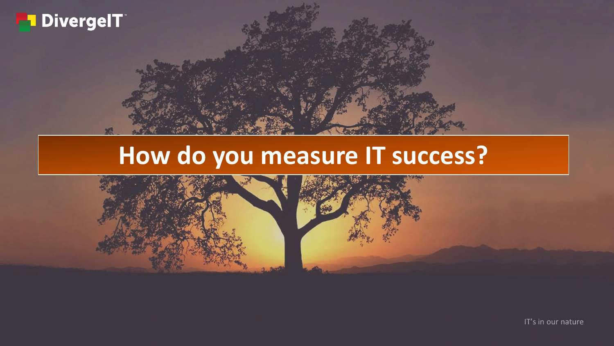

## **How do you measure IT success?**



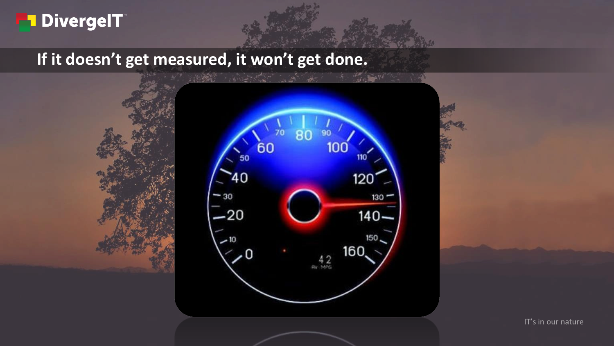### <mark>T</mark> DivergelT **T**

#### **If it doesn't get measured, it won't get done.**



SE CHAVE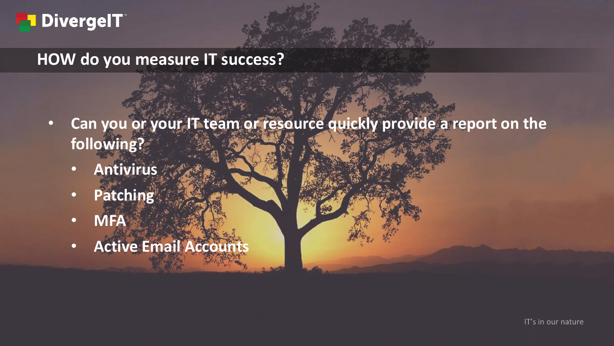**HOW do you measure IT success?**

- **Can you or your IT team or resource quickly provide a report on the following?**
	- **Antivirus**
	- **Patching**
	- **MFA**
	- **Active Email Accounts**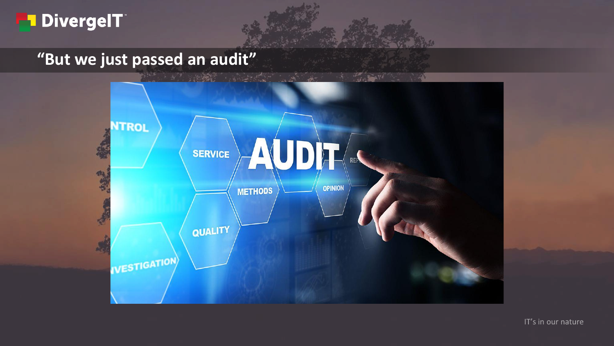## <mark>T</mark> DivergelT®

#### **"But we just passed an audit"**

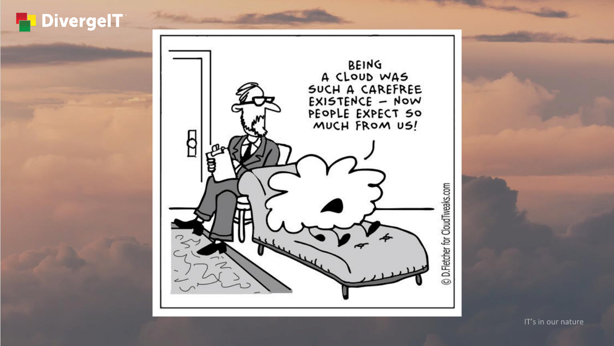### **P** DivergelT

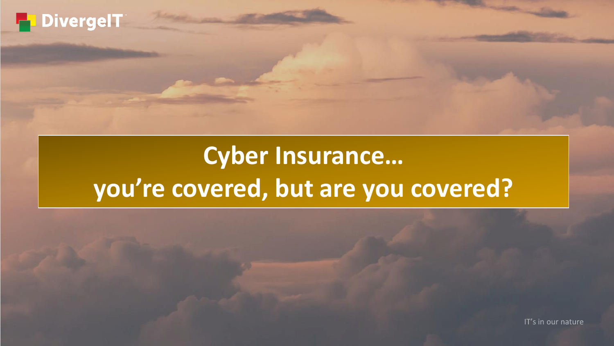### **PRODUCED**

## **Cyber Insurance… you're covered, but are you covered?**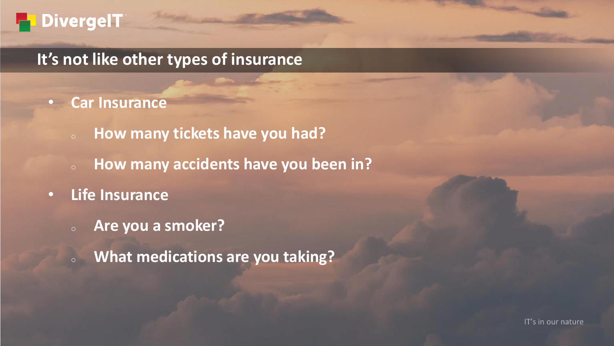### **P** DivergelT

#### **It's not like other types of insurance**

#### • **Car Insurance**

- <sup>o</sup> **How many tickets have you had?**
- <sup>o</sup> **How many accidents have you been in?**
- **Life Insurance**
	- <sup>o</sup> **Are you a smoker?**
	- <sup>o</sup> **What medications are you taking?**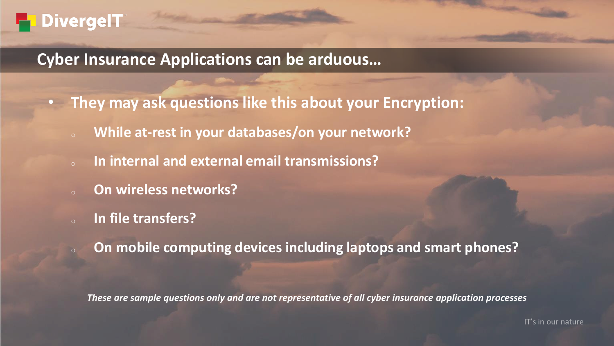### **H** DivergelT

#### **Cyber Insurance Applications can be arduous…**

- **They may ask questions like this about your Encryption:**
	- While at-rest in your databases/on your network?
	- <sup>o</sup> **In internal and external email transmissions?**
	- **On wireless networks?**
	- <sup>o</sup> **In file transfers?**
	- <sup>o</sup> **On mobile computing devices including laptops and smart phones?**

*These are sample questions only and are not representative of all cyber insurance application processes*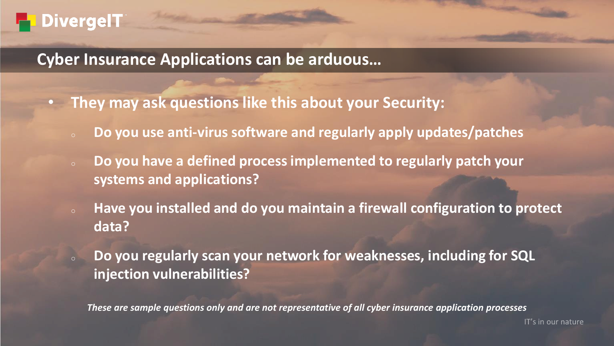#### **Cyber Insurance Applications can be arduous…**

- **They may ask questions like this about your Security:**
	- <sup>o</sup> **Do you use anti-virus software and regularly apply updates/patches**
	- <sup>o</sup> **Do you have a defined process implemented to regularly patch your systems and applications?**
	- <sup>o</sup> **Have you installed and do you maintain a firewall configuration to protect data?**
	- Do you regularly scan your network for weaknesses, including for SQL **injection vulnerabilities?**

*These are sample questions only and are not representative of all cyber insurance application processes*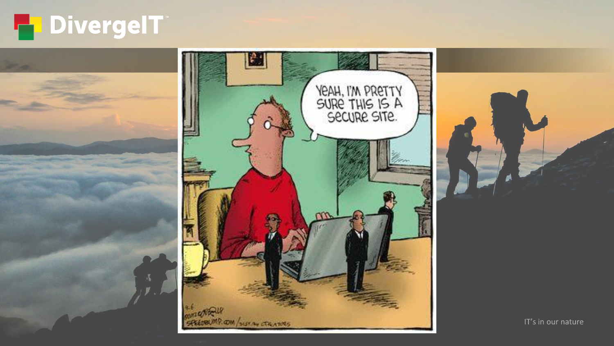## **FRIDivergelT**

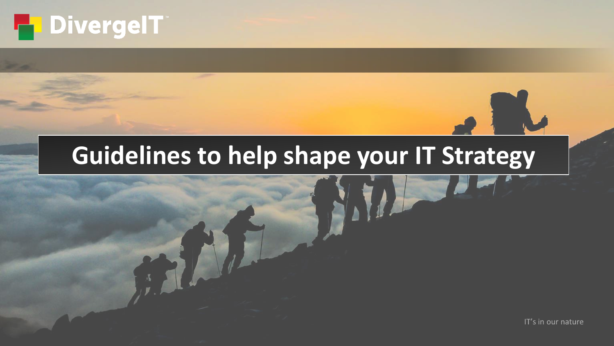

## **Guidelines to help shape your IT Strategy**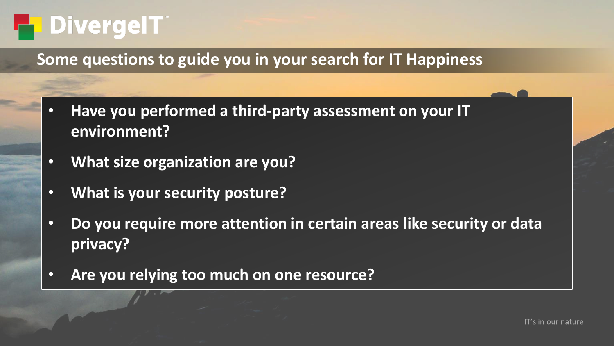## **FRIDE Divergeller**

#### **Some questions to guide you in your search for IT Happiness**

- **Have you performed a third-party assessment on your IT environment?**
- **What size organization are you?**
- **What is your security posture?**
- **Do you require more attention in certain areas like security or data privacy?**
- **Are you relying too much on one resource?**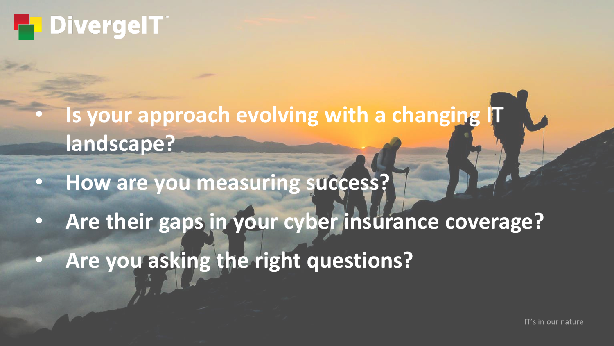## **FRIDivergelT**

- **Is your approach evolving with a changing IT landscape?**
- **How are you measuring success?**
- **Are their gaps in your cyber insurance coverage?** • **Are you asking the right questions?**